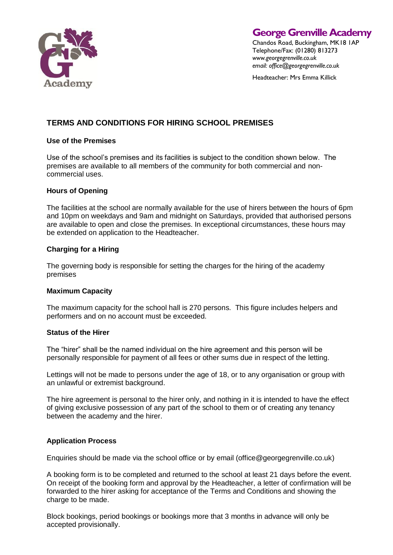

**George Grenville Academy**

Chandos Road, Buckingham, MK18 1AP Telephone/Fax: (01280) 813273 *www.georgegrenville.co.uk email: office@georgegrenville.co.uk*

Headteacher: Mrs Emma Killick

# **TERMS AND CONDITIONS FOR HIRING SCHOOL PREMISES**

# **Use of the Premises**

Use of the school's premises and its facilities is subject to the condition shown below. The premises are available to all members of the community for both commercial and noncommercial uses.

# **Hours of Opening**

The facilities at the school are normally available for the use of hirers between the hours of 6pm and 10pm on weekdays and 9am and midnight on Saturdays, provided that authorised persons are available to open and close the premises. In exceptional circumstances, these hours may be extended on application to the Headteacher.

# **Charging for a Hiring**

The governing body is responsible for setting the charges for the hiring of the academy premises

# **Maximum Capacity**

The maximum capacity for the school hall is 270 persons. This figure includes helpers and performers and on no account must be exceeded.

# **Status of the Hirer**

The "hirer" shall be the named individual on the hire agreement and this person will be personally responsible for payment of all fees or other sums due in respect of the letting.

Lettings will not be made to persons under the age of 18, or to any organisation or group with an unlawful or extremist background.

The hire agreement is personal to the hirer only, and nothing in it is intended to have the effect of giving exclusive possession of any part of the school to them or of creating any tenancy between the academy and the hirer.

# **Application Process**

Enquiries should be made via the school office or by email (office@georgegrenville.co.uk)

A booking form is to be completed and returned to the school at least 21 days before the event. On receipt of the booking form and approval by the Headteacher, a letter of confirmation will be forwarded to the hirer asking for acceptance of the Terms and Conditions and showing the charge to be made.

Block bookings, period bookings or bookings more that 3 months in advance will only be accepted provisionally.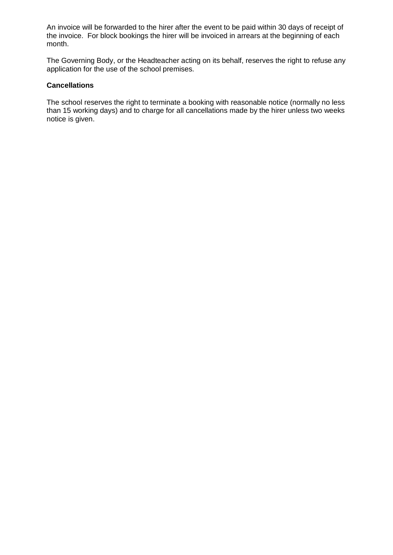An invoice will be forwarded to the hirer after the event to be paid within 30 days of receipt of the invoice. For block bookings the hirer will be invoiced in arrears at the beginning of each month.

The Governing Body, or the Headteacher acting on its behalf, reserves the right to refuse any application for the use of the school premises.

### **Cancellations**

The school reserves the right to terminate a booking with reasonable notice (normally no less than 15 working days) and to charge for all cancellations made by the hirer unless two weeks notice is given.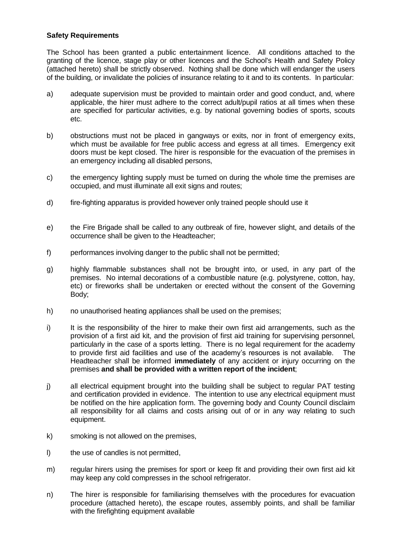# **Safety Requirements**

The School has been granted a public entertainment licence. All conditions attached to the granting of the licence, stage play or other licences and the School's Health and Safety Policy (attached hereto) shall be strictly observed. Nothing shall be done which will endanger the users of the building, or invalidate the policies of insurance relating to it and to its contents. In particular:

- a) adequate supervision must be provided to maintain order and good conduct, and, where applicable, the hirer must adhere to the correct adult/pupil ratios at all times when these are specified for particular activities, e.g. by national governing bodies of sports, scouts etc.
- b) obstructions must not be placed in gangways or exits, nor in front of emergency exits, which must be available for free public access and egress at all times. Emergency exit doors must be kept closed. The hirer is responsible for the evacuation of the premises in an emergency including all disabled persons,
- c) the emergency lighting supply must be turned on during the whole time the premises are occupied, and must illuminate all exit signs and routes;
- d) fire-fighting apparatus is provided however only trained people should use it
- e) the Fire Brigade shall be called to any outbreak of fire, however slight, and details of the occurrence shall be given to the Headteacher;
- f) performances involving danger to the public shall not be permitted;
- g) highly flammable substances shall not be brought into, or used, in any part of the premises. No internal decorations of a combustible nature (e.g. polystyrene, cotton, hay, etc) or fireworks shall be undertaken or erected without the consent of the Governing Body;
- h) no unauthorised heating appliances shall be used on the premises;
- i) It is the responsibility of the hirer to make their own first aid arrangements, such as the provision of a first aid kit, and the provision of first aid training for supervising personnel, particularly in the case of a sports letting. There is no legal requirement for the academy to provide first aid facilities and use of the academy's resources is not available. The Headteacher shall be informed **immediately** of any accident or injury occurring on the premises **and shall be provided with a written report of the incident**;
- j) all electrical equipment brought into the building shall be subject to regular PAT testing and certification provided in evidence. The intention to use any electrical equipment must be notified on the hire application form. The governing body and County Council disclaim all responsibility for all claims and costs arising out of or in any way relating to such equipment.
- k) smoking is not allowed on the premises,
- l) the use of candles is not permitted,
- m) regular hirers using the premises for sport or keep fit and providing their own first aid kit may keep any cold compresses in the school refrigerator.
- n) The hirer is responsible for familiarising themselves with the procedures for evacuation procedure (attached hereto), the escape routes, assembly points, and shall be familiar with the firefighting equipment available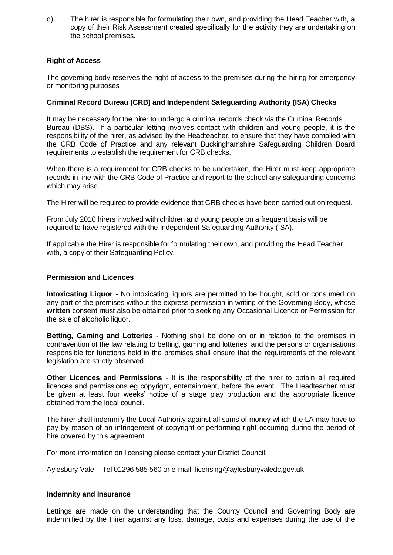o) The hirer is responsible for formulating their own, and providing the Head Teacher with, a copy of their Risk Assessment created specifically for the activity they are undertaking on the school premises.

# **Right of Access**

The governing body reserves the right of access to the premises during the hiring for emergency or monitoring purposes

# **Criminal Record Bureau (CRB) and Independent Safeguarding Authority (ISA) Checks**

It may be necessary for the hirer to undergo a criminal records check via the Criminal Records Bureau (DBS). If a particular letting involves contact with children and young people, it is the responsibility of the hirer, as advised by the Headteacher, to ensure that they have complied with the CRB Code of Practice and any relevant Buckinghamshire Safeguarding Children Board requirements to establish the requirement for CRB checks.

When there is a requirement for CRB checks to be undertaken, the Hirer must keep appropriate records in line with the CRB Code of Practice and report to the school any safeguarding concerns which may arise.

The Hirer will be required to provide evidence that CRB checks have been carried out on request.

From July 2010 hirers involved with children and young people on a frequent basis will be required to have registered with the Independent Safeguarding Authority (ISA).

If applicable the Hirer is responsible for formulating their own, and providing the Head Teacher with, a copy of their Safeguarding Policy.

# **Permission and Licences**

**Intoxicating Liquor** - No intoxicating liquors are permitted to be bought, sold or consumed on any part of the premises without the express permission in writing of the Governing Body, whose **written** consent must also be obtained prior to seeking any Occasional Licence or Permission for the sale of alcoholic liquor.

**Betting, Gaming and Lotteries** - Nothing shall be done on or in relation to the premises in contravention of the law relating to betting, gaming and lotteries, and the persons or organisations responsible for functions held in the premises shall ensure that the requirements of the relevant legislation are strictly observed.

**Other Licences and Permissions** - It is the responsibility of the hirer to obtain all required licences and permissions eg copyright, entertainment, before the event. The Headteacher must be given at least four weeks' notice of a stage play production and the appropriate licence obtained from the local council.

The hirer shall indemnify the Local Authority against all sums of money which the LA may have to pay by reason of an infringement of copyright or performing right occurring during the period of hire covered by this agreement.

For more information on licensing please contact your District Council:

Aylesbury Vale – Tel 01296 585 560 or e-mail: [licensing@aylesburyvaledc.gov.uk](mailto:licensing@aylesburyvaledc.gov.uk)

# **Indemnity and Insurance**

Lettings are made on the understanding that the County Council and Governing Body are indemnified by the Hirer against any loss, damage, costs and expenses during the use of the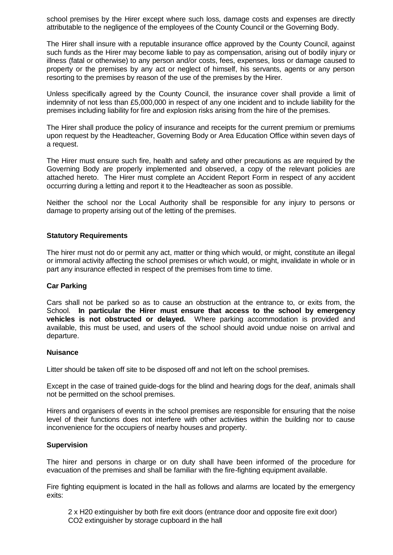school premises by the Hirer except where such loss, damage costs and expenses are directly attributable to the negligence of the employees of the County Council or the Governing Body.

The Hirer shall insure with a reputable insurance office approved by the County Council, against such funds as the Hirer may become liable to pay as compensation, arising out of bodily injury or illness (fatal or otherwise) to any person and/or costs, fees, expenses, loss or damage caused to property or the premises by any act or neglect of himself, his servants, agents or any person resorting to the premises by reason of the use of the premises by the Hirer.

Unless specifically agreed by the County Council, the insurance cover shall provide a limit of indemnity of not less than £5,000,000 in respect of any one incident and to include liability for the premises including liability for fire and explosion risks arising from the hire of the premises.

The Hirer shall produce the policy of insurance and receipts for the current premium or premiums upon request by the Headteacher, Governing Body or Area Education Office within seven days of a request.

The Hirer must ensure such fire, health and safety and other precautions as are required by the Governing Body are properly implemented and observed, a copy of the relevant policies are attached hereto. The Hirer must complete an Accident Report Form in respect of any accident occurring during a letting and report it to the Headteacher as soon as possible.

Neither the school nor the Local Authority shall be responsible for any injury to persons or damage to property arising out of the letting of the premises.

### **Statutory Requirements**

The hirer must not do or permit any act, matter or thing which would, or might, constitute an illegal or immoral activity affecting the school premises or which would, or might, invalidate in whole or in part any insurance effected in respect of the premises from time to time.

#### **Car Parking**

Cars shall not be parked so as to cause an obstruction at the entrance to, or exits from, the School. **In particular the Hirer must ensure that access to the school by emergency vehicles is not obstructed or delayed.** Where parking accommodation is provided and available, this must be used, and users of the school should avoid undue noise on arrival and departure.

#### **Nuisance**

Litter should be taken off site to be disposed off and not left on the school premises.

Except in the case of trained guide-dogs for the blind and hearing dogs for the deaf, animals shall not be permitted on the school premises.

Hirers and organisers of events in the school premises are responsible for ensuring that the noise level of their functions does not interfere with other activities within the building nor to cause inconvenience for the occupiers of nearby houses and property.

#### **Supervision**

The hirer and persons in charge or on duty shall have been informed of the procedure for evacuation of the premises and shall be familiar with the fire-fighting equipment available.

Fire fighting equipment is located in the hall as follows and alarms are located by the emergency exits:

2 x H20 extinguisher by both fire exit doors (entrance door and opposite fire exit door) CO2 extinguisher by storage cupboard in the hall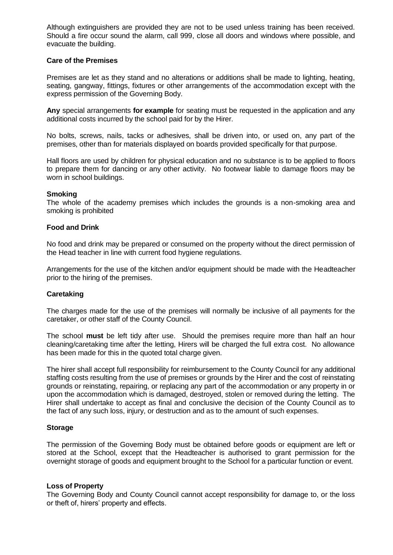Although extinguishers are provided they are not to be used unless training has been received. Should a fire occur sound the alarm, call 999, close all doors and windows where possible, and evacuate the building.

### **Care of the Premises**

Premises are let as they stand and no alterations or additions shall be made to lighting, heating, seating, gangway, fittings, fixtures or other arrangements of the accommodation except with the express permission of the Governing Body.

**Any** special arrangements **for example** for seating must be requested in the application and any additional costs incurred by the school paid for by the Hirer.

No bolts, screws, nails, tacks or adhesives, shall be driven into, or used on, any part of the premises, other than for materials displayed on boards provided specifically for that purpose.

Hall floors are used by children for physical education and no substance is to be applied to floors to prepare them for dancing or any other activity. No footwear liable to damage floors may be worn in school buildings.

#### **Smoking**

The whole of the academy premises which includes the grounds is a non-smoking area and smoking is prohibited

### **Food and Drink**

No food and drink may be prepared or consumed on the property without the direct permission of the Head teacher in line with current food hygiene regulations.

Arrangements for the use of the kitchen and/or equipment should be made with the Headteacher prior to the hiring of the premises.

# **Caretaking**

The charges made for the use of the premises will normally be inclusive of all payments for the caretaker, or other staff of the County Council.

The school **must** be left tidy after use. Should the premises require more than half an hour cleaning/caretaking time after the letting, Hirers will be charged the full extra cost. No allowance has been made for this in the quoted total charge given.

The hirer shall accept full responsibility for reimbursement to the County Council for any additional staffing costs resulting from the use of premises or grounds by the Hirer and the cost of reinstating grounds or reinstating, repairing, or replacing any part of the accommodation or any property in or upon the accommodation which is damaged, destroyed, stolen or removed during the letting. The Hirer shall undertake to accept as final and conclusive the decision of the County Council as to the fact of any such loss, injury, or destruction and as to the amount of such expenses.

# **Storage**

The permission of the Governing Body must be obtained before goods or equipment are left or stored at the School, except that the Headteacher is authorised to grant permission for the overnight storage of goods and equipment brought to the School for a particular function or event.

#### **Loss of Property**

The Governing Body and County Council cannot accept responsibility for damage to, or the loss or theft of, hirers' property and effects.